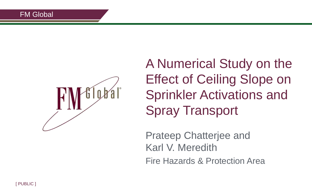

A Numerical Study on the Effect of Ceiling Slope on Sprinkler Activations and Spray Transport

Prateep Chatterjee and Karl V. Meredith Fire Hazards & Protection Area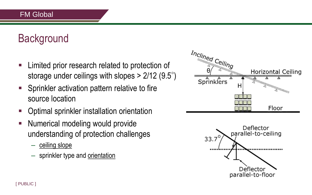# **Background**

- **EXA** Limited prior research related to protection of storage under ceilings with slopes > 2/12 (9.5)
- **Sprinkler activation pattern relative to fire** source location
- **-** Optimal sprinkler installation orientation
- **Numerical modeling would provide** understanding of protection challenges
	- ceiling slope
	- sprinkler type and orientation



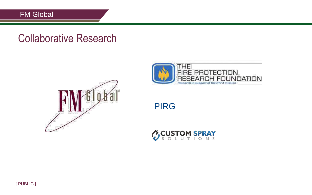### Collaborative Research





#### PIRG

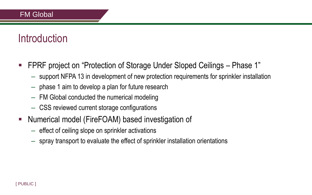### **Introduction**

- FPRF project on "Protection of Storage Under Sloped Ceilings Phase 1"
	- support NFPA 13 in development of new protection requirements for sprinkler installation
	- phase 1 aim to develop a plan for future research
	- FM Global conducted the numerical modeling
	- CSS reviewed current storage configurations
- **Numerical model (FireFOAM) based investigation of** 
	- effect of ceiling slope on sprinkler activations
	- spray transport to evaluate the effect of sprinkler installation orientations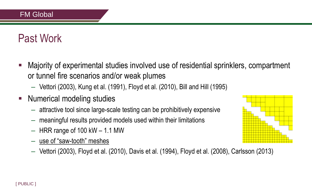# Past Work

- Majority of experimental studies involved use of residential sprinklers, compartment or tunnel fire scenarios and/or weak plumes
	- Vettori (2003), Kung et al. (1991), Floyd et al. (2010), Bill and Hill (1995)
- **Numerical modeling studies** 
	- attractive tool since large-scale testing can be prohibitively expensive
	- meaningful results provided models used within their limitations
	- $-$  HRR range of 100 kW  $-$  1.1 MW
	- use of "saw-tooth" meshes
	- Vettori (2003), Floyd et al. (2010), Davis et al. (1994), Floyd et al. (2008), Carlsson (2013)

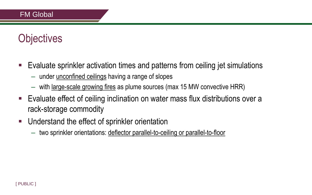# **Objectives**

- Evaluate sprinkler activation times and patterns from ceiling jet simulations
	- under unconfined ceilings having a range of slopes
	- with large-scale growing fires as plume sources (max 15 MW convective HRR)
- Evaluate effect of ceiling inclination on water mass flux distributions over a rack-storage commodity
- **Understand the effect of sprinkler orientation** 
	- two sprinkler orientations: deflector parallel-to-ceiling or parallel-to-floor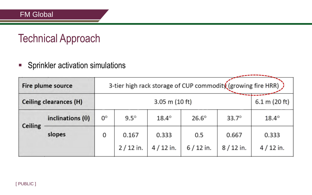### Technical Approach

**Sprinkler activation simulations** 

|         | Fire plume source             | 3-tier high rack storage of CUP commodity (growing fire HRR) |                     |                     |                   |                     |                     |  |  |
|---------|-------------------------------|--------------------------------------------------------------|---------------------|---------------------|-------------------|---------------------|---------------------|--|--|
|         | <b>Ceiling clearances (H)</b> |                                                              | 6.1 m (20 ft)       |                     |                   |                     |                     |  |  |
|         | inclinations $(\theta)$       | $0^{\circ}$                                                  | $9.5^\circ$         | $18.4^\circ$        | $26.6^\circ$      | $33.7^\circ$        | $18.4^\circ$        |  |  |
| Ceiling | slopes                        | 0                                                            | 0.167<br>$2/12$ in. | 0.333<br>$4/12$ in. | 0.5<br>$6/12$ in. | 0.667<br>$8/12$ in. | 0.333<br>$4/12$ in. |  |  |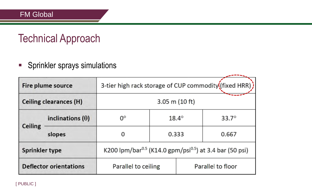### Technical Approach

**Sprinkler sprays simulations** 

| Fire plume source<br>Ceiling clearances (H) |                         | 3-tier high rack storage of CUP commodity (fixed HRR) ) |              |                                                                                 |              |  |  |
|---------------------------------------------|-------------------------|---------------------------------------------------------|--------------|---------------------------------------------------------------------------------|--------------|--|--|
|                                             |                         | $3.05$ m (10 ft)                                        |              |                                                                                 |              |  |  |
|                                             | inclinations $(\theta)$ | 0°                                                      | $18.4^\circ$ |                                                                                 | $33.7^\circ$ |  |  |
| <b>Ceiling</b>                              | slopes                  | 0                                                       | 0.333        |                                                                                 | 0.667        |  |  |
| <b>Sprinkler type</b>                       |                         |                                                         |              | K200 lpm/bar <sup>0.5</sup> (K14.0 gpm/psi <sup>0.5</sup> ) at 3.4 bar (50 psi) |              |  |  |
| <b>Deflector orientations</b>               |                         | Parallel to ceiling                                     |              | Parallel to floor                                                               |              |  |  |

[ PUBLIC ]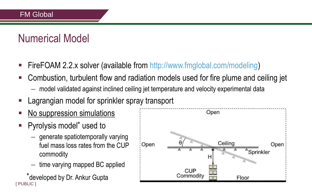### Numerical Model

- FireFOAM 2.2.x solver (available from http://www.fmglobal.com/modeling)
- Combustion, turbulent flow and radiation models used for fire plume and ceiling jet
	- model validated against inclined ceiling jet temperature and velocity experimental data
- Lagrangian model for sprinkler spray transport
- **No suppression simulations**
- Pyrolysis model\* used to
	- generate spatiotemporally varying fuel mass loss rates from the CUP commodity
	- time varying mapped BC applied
- [ PUBLIC ] \*developed by Dr. Ankur Gupta

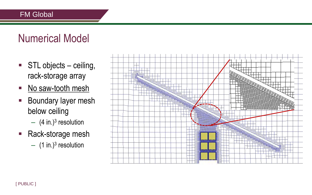# Numerical Model

- **STL** objects ceiling, rack-storage array
- No saw-tooth mesh
- **Boundary layer mesh** below ceiling
	- $-$  (4 in.)<sup>3</sup> resolution
- Rack-storage mesh
	- $-$  (1 in.)<sup>3</sup> resolution

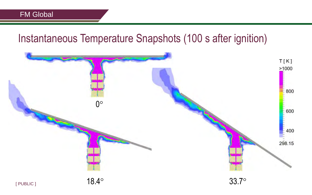#### Instantaneous Temperature Snapshots (100 s after ignition)

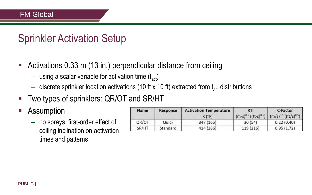### Sprinkler Activation Setup

- Activations 0.33 m (13 in.) perpendicular distance from ceiling
	- $-$  using a scalar variable for activation time  $(t_{\rm act})$
	- $-$  discrete sprinkler location activations (10 ft x 10 ft) extracted from  $t_{\text{act}}$  distributions
- **Two types of sprinklers: QR/OT and SR/HT**
- **-** Assumption
	- no sprays: first-order effect of ceiling inclination on activation times and patterns

| Name  | Response        | <b>Activation Temperature</b><br>$K(^{\circ}F)$ | <b>RTI</b><br>$(m-s)^{0.5}$ ((ft-s) <sup>0.5</sup> ) | C-Factor<br>$(m/s)^{0.5}$ ((ft/s) <sup>0.5</sup> ) |  |
|-------|-----------------|-------------------------------------------------|------------------------------------------------------|----------------------------------------------------|--|
| QR/OT | Quick           | 347 (165)                                       | 30(54)                                               | 0.22(0.40)                                         |  |
| SR/HT | <b>Standard</b> | 414 (286)                                       | 119 (216)                                            | 0.95(1.72)                                         |  |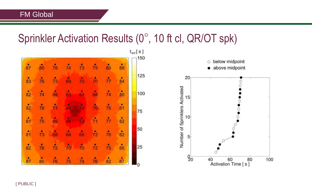### Sprinkler Activation Results  $(0^{\circ}, 10$  ft cl, QR/OT spk)

| $t_{act}$ $\lfloor s \rfloor$<br>150 |                        |    |    |    |           |    |    |                                            |
|--------------------------------------|------------------------|----|----|----|-----------|----|----|--------------------------------------------|
|                                      | 89                     | 80 | 75 | 73 | 74        | 76 | 80 | 87                                         |
| 125                                  | $\ddot{\phantom{0}}84$ | 77 | 70 | 70 | 69        | 73 | 76 | $\ddot{\phantom{0}}\phantom{0}\mathbf{83}$ |
| 100                                  | $\ddot{\mathbf{80}}$   | 74 | 68 | 63 | 63        | 69 | 74 | 82                                         |
| 75                                   | $\ddot{\mathbf{8}}$ 1  | 76 | 70 | M. | 48        |    | 76 | $\overset{\bullet}{82}$                    |
|                                      | $\ddot{\phantom{0}}82$ | 77 | 71 | 63 | 46        | 69 | 75 | $\ddot{\phantom{0}}\phantom{0}\mathbf{8}$  |
| 50                                   | $\ddot{\mathbf{82}}$   | 76 | 72 | 65 | 64        | 66 | 73 | $\overline{81}$                            |
| 25                                   | 55                     | 75 | 72 | 70 | $\dot{v}$ | 72 | 76 | $\ddot{82}$                                |
| n                                    | 87                     | 82 | 76 | 74 | 75        | 76 | 80 | 87                                         |

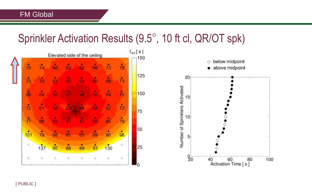$\overline{\mathbf{A}}$ 

# Sprinkler Activation Results (9.5°, 10 ft cl, QR/OT spk)

|                     |         | Elevated side of the ceiling |             |                      |                 |
|---------------------|---------|------------------------------|-------------|----------------------|-----------------|
| 68                  | 62      | 62                           | 88          | $\overline{74}$      | 78              |
| 60                  | ś.      | 69                           | 62          | 70                   | 73              |
| 56                  | Ń6      |                              | šė          | 64                   | 68              |
| 58                  |         | d.                           | s.          | $\ddot{\phantom{a}}$ | 72              |
| ٠<br>56             |         | х                            | ś.          | <br>66               | $\overline{77}$ |
| 69                  | 65      | 65                           | 68          | 79                   | 101             |
| 93                  | 89      | 88                           | $\ddot{95}$ | 137                  | o               |
| $\overline{\omega}$ | $\circ$ | o                            | ö           | ö                    | ö               |

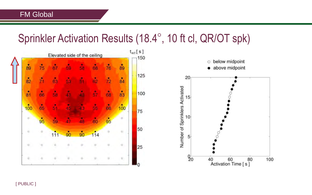# Sprinkler Activation Results (18.4°, 10 ft cl, QR/OT spk)



100

[ PUBLIC ]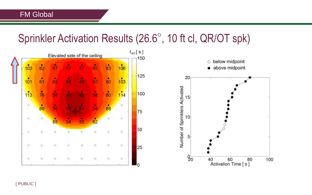# Sprinkler Activation Results (26.6 , 10 ft cl, QR/OT spk)



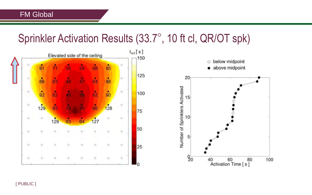# Sprinkler Activation Results (33.7 , 10 ft cl, QR/OT spk)

60

80

100



[ PUBLIC ]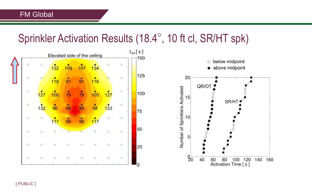# Sprinkler Activation Results (18.4 , 10 ft cl, SR/HT spk)



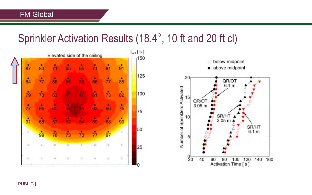$\overline{\mathbf{A}}$ 

#### Sprinkler Activation Results (18.4°, 10 ft and 20 ft cl)

|          |    |        | Elevated side of the ceiling |                |          |         |                 | $t_{act}$ $\lbrack$ S $\lbrack$<br>150 |
|----------|----|--------|------------------------------|----------------|----------|---------|-----------------|----------------------------------------|
| 87       | 83 |        | 65                           | 65             |          | 81      | 91              |                                        |
| 84       | 77 | 66     | 56                           | Ĝ,             | 66       |         | 85              | 125                                    |
| 79       | 73 | 62     |                              |                |          | 73      | $\overline{82}$ | 100                                    |
| ň        | 66 | 60     | 44                           | d۸             | 62       | 66      | 75              | 75                                     |
| 91       | 68 | iå.    | 52                           |                | 50       | 68      | $\ddot{90}$     |                                        |
| o        | 99 | 78     | 73                           | 73             | 77       | 97      | ö               | 50                                     |
| ö.       | ö. | o      | $\overline{a}$               | Ò.             | $\alpha$ | $\circ$ | $\circ$         | 25                                     |
| $\alpha$ | ó  | $\Box$ | ö                            | $\overline{a}$ | ö        | o       | o               | 0                                      |

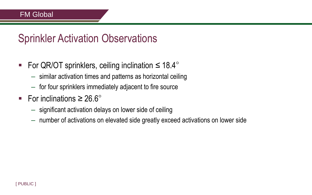### Sprinkler Activation Observations

- For QR/OT sprinklers, ceiling inclination  $\leq 18.4^{\circ}$ 
	- similar activation times and patterns as horizontal ceiling
	- for four sprinklers immediately adjacent to fire source
- For inclinations  $\geq 26.6^{\circ}$ 
	- significant activation delays on lower side of ceiling
	- number of activations on elevated side greatly exceed activations on lower side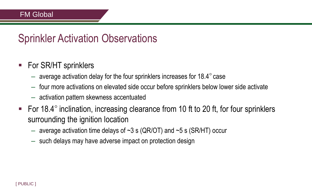### Sprinkler Activation Observations

- For SR/HT sprinklers
	- $-$  average activation delay for the four sprinklers increases for 18.4 $\degree$  case
	- four more activations on elevated side occur before sprinklers below lower side activate
	- activation pattern skewness accentuated
- For 18.4 $\degree$  inclination, increasing clearance from 10 ft to 20 ft, for four sprinklers surrounding the ignition location
	- average activation time delays of  $\sim$ 3 s (QR/OT) and  $\sim$ 5 s (SR/HT) occur
	- such delays may have adverse impact on protection design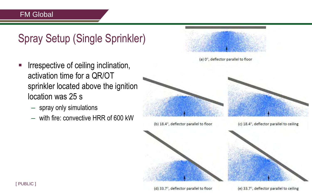# Spray Setup (Single Sprinkler)

- **IFFE** Irrespective of ceiling inclination, activation time for a QR/OT sprinkler located above the ignition location was 25 s
	- spray only simulations
	- with fire: convective HRR of 600 kW







(e) 33.7°, deflector parallel to ceiling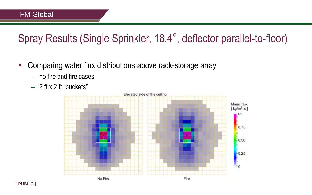# Spray Results (Single Sprinkler, 18.4°, deflector parallel-to-floor)

- Comparing water flux distributions above rack-storage array
	- no fire and fire cases
	- $-2$  ft x 2 ft "buckets"

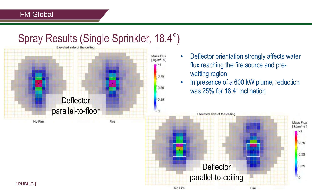### Spray Results (Single Sprinkler, 18.4°)



• Deflector orientation strongly affects water flux reaching the fire source and prewetting region

• In presence of a 600 kW plume, reduction was  $25\%$  for 18.4 $\degree$  inclination

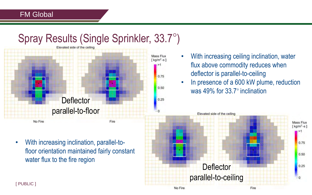# Spray Results (Single Sprinkler, 33.7°)



- With increasing ceiling inclination, water flux above commodity reduces when deflector is parallel-to-ceiling
- In presence of a 600 kW plume, reduction was 49% for 33.7° inclination

Elevated side of the ceiling

**Deflector** parallel-to-ceiling



• With increasing inclination, parallel-tofloor orientation maintained fairly constant water flux to the fire region

[ PUBLIC ]

Fire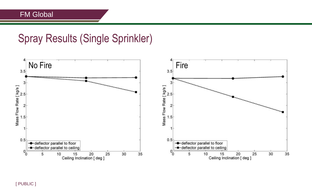### Spray Results (Single Sprinkler)



[ PUBLIC ]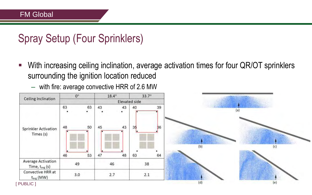# Spray Setup (Four Sprinklers)

■ With increasing ceiling inclination, average activation times for four QR/OT sprinklers surrounding the ignition location reduced

– with fire: average convective HRR of 2.6 MW

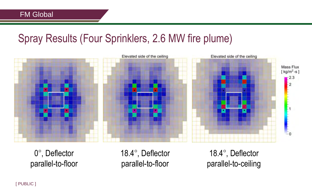### Spray Results (Four Sprinklers, 2.6 MW fire plume)



0°, Deflector parallel-to-floor 18.4°, Deflector parallel-to-floor

18.4°, Deflector parallel-to-ceiling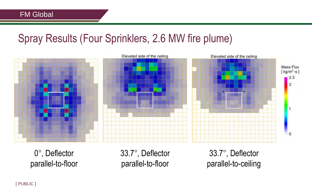### Spray Results (Four Sprinklers, 2.6 MW fire plume)



0°, Deflector parallel-to-floor 33.7°, Deflector parallel-to-floor

33.7°, Deflector parallel-to-ceiling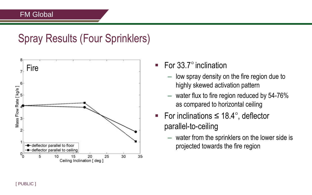### Spray Results (Four Sprinklers)



- For  $33.7^\circ$  inclination
	- low spray density on the fire region due to highly skewed activation pattern
	- water flux to fire region reduced by 54-76% as compared to horizontal ceiling
- For inclinations  $\leq 18.4^{\circ}$ , deflector parallel-to-ceiling
	- water from the sprinklers on the lower side is projected towards the fire region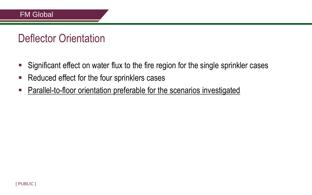### Deflector Orientation

- Significant effect on water flux to the fire region for the single sprinkler cases
- Reduced effect for the four sprinklers cases
- **Parallel-to-floor orientation preferable for the scenarios investigated**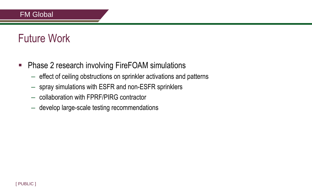### Future Work

- **-** Phase 2 research involving FireFOAM simulations
	- effect of ceiling obstructions on sprinkler activations and patterns
	- spray simulations with ESFR and non-ESFR sprinklers
	- collaboration with FPRF/PIRG contractor
	- develop large-scale testing recommendations